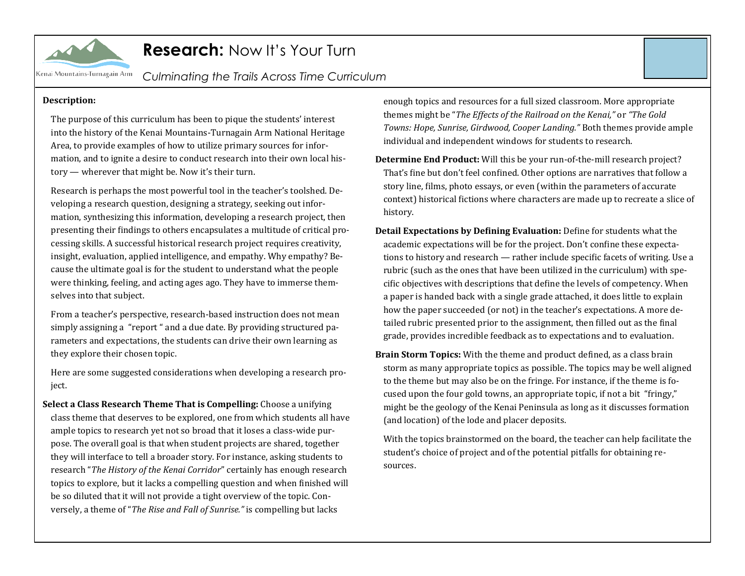

### **Research:** Now It's Your Turn

*Culminating the Trails Across Time Curriculum*

#### **Description:**

The purpose of this curriculum has been to pique the students' interest into the history of the Kenai Mountains-Turnagain Arm National Heritage Area, to provide examples of how to utilize primary sources for information, and to ignite a desire to conduct research into their own local history — wherever that might be. Now it's their turn.

Research is perhaps the most powerful tool in the teacher's toolshed. Developing a research question, designing a strategy, seeking out information, synthesizing this information, developing a research project, then presenting their findings to others encapsulates a multitude of critical processing skills. A successful historical research project requires creativity, insight, evaluation, applied intelligence, and empathy. Why empathy? Because the ultimate goal is for the student to understand what the people were thinking, feeling, and acting ages ago. They have to immerse themselves into that subject.

From a teacher's perspective, research-based instruction does not mean simply assigning a "report " and a due date. By providing structured parameters and expectations, the students can drive their own learning as they explore their chosen topic.

Here are some suggested considerations when developing a research project.

**Select a Class Research Theme That is Compelling:** Choose a unifying class theme that deserves to be explored, one from which students all have ample topics to research yet not so broad that it loses a class-wide purpose. The overall goal is that when student projects are shared, together they will interface to tell a broader story. For instance, asking students to research "*The History of the Kenai Corridor*" certainly has enough research topics to explore, but it lacks a compelling question and when finished will be so diluted that it will not provide a tight overview of the topic. Conversely, a theme of "*The Rise and Fall of Sunrise."* is compelling but lacks

enough topics and resources for a full sized classroom. More appropriate themes might be "*The Effects of the Railroad on the Kenai,"* or *"The Gold Towns: Hope, Sunrise, Girdwood, Cooper Landing."* Both themes provide ample individual and independent windows for students to research.

- **Determine End Product:** Will this be your run-of-the-mill research project? That's fine but don't feel confined. Other options are narratives that follow a story line, films, photo essays, or even (within the parameters of accurate context) historical fictions where characters are made up to recreate a slice of history.
- **Detail Expectations by Defining Evaluation:** Define for students what the academic expectations will be for the project. Don't confine these expectations to history and research — rather include specific facets of writing. Use a rubric (such as the ones that have been utilized in the curriculum) with specific objectives with descriptions that define the levels of competency. When a paper is handed back with a single grade attached, it does little to explain how the paper succeeded (or not) in the teacher's expectations. A more detailed rubric presented prior to the assignment, then filled out as the final grade, provides incredible feedback as to expectations and to evaluation.
- **Brain Storm Topics:** With the theme and product defined, as a class brain storm as many appropriate topics as possible. The topics may be well aligned to the theme but may also be on the fringe. For instance, if the theme is focused upon the four gold towns, an appropriate topic, if not a bit "fringy," might be the geology of the Kenai Peninsula as long as it discusses formation (and location) of the lode and placer deposits.

With the topics brainstormed on the board, the teacher can help facilitate the student's choice of project and of the potential pitfalls for obtaining resources.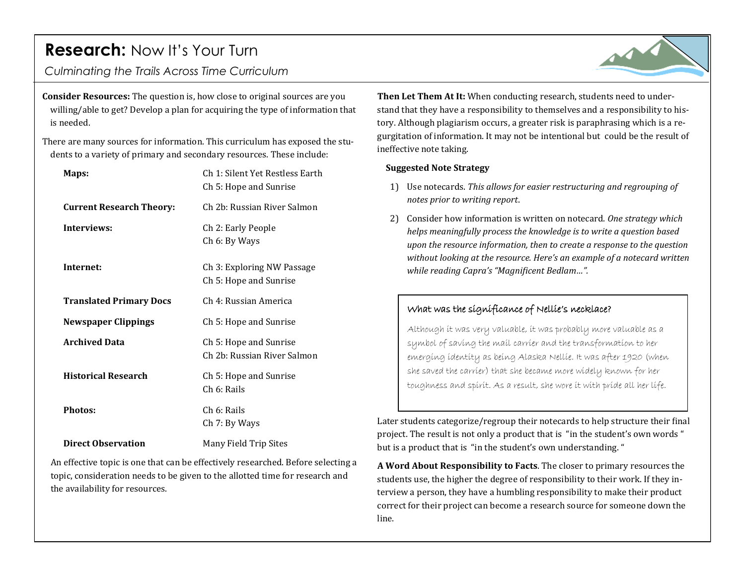## **Research:** Now It's Your Turn

*Culminating the Trails Across Time Curriculum*

**Consider Resources:** The question is, how close to original sources are you willing/able to get? Develop a plan for acquiring the type of information that is needed.

There are many sources for information. This curriculum has exposed the students to a variety of primary and secondary resources. These include:

| Maps:                           | Ch 1: Silent Yet Restless Earth<br>Ch 5: Hope and Sunrise |
|---------------------------------|-----------------------------------------------------------|
| <b>Current Research Theory:</b> | Ch 2b: Russian River Salmon                               |
| Interviews:                     | Ch 2: Early People<br>Ch 6: By Ways                       |
| Internet:                       | Ch 3: Exploring NW Passage<br>Ch 5: Hope and Sunrise      |
| <b>Translated Primary Docs</b>  | Ch 4: Russian America                                     |
| <b>Newspaper Clippings</b>      | Ch 5: Hope and Sunrise                                    |
| <b>Archived Data</b>            | Ch 5: Hope and Sunrise<br>Ch 2b: Russian River Salmon     |
| <b>Historical Research</b>      | Ch 5: Hope and Sunrise<br>Ch 6: Rails                     |
| <b>Photos:</b>                  | Ch 6: Rails<br>Ch 7: By Ways                              |
| <b>Direct Observation</b>       | Many Field Trip Sites                                     |

An effective topic is one that can be effectively researched. Before selecting a topic, consideration needs to be given to the allotted time for research and the availability for resources.

**Then Let Them At It:** When conducting research, students need to understand that they have a responsibility to themselves and a responsibility to history. Although plagiarism occurs, a greater risk is paraphrasing which is a regurgitation of information. It may not be intentional but could be the result of ineffective note taking.

#### **Suggested Note Strategy**

- 1) Use notecards. *This allows for easier restructuring and regrouping of notes prior to writing report*.
- 2) Consider how information is written on notecard. *One strategy which helps meaningfully process the knowledge is to write a question based upon the resource information, then to create a response to the question without looking at the resource. Here's an example of a notecard written while reading Capra's "Magnificent Bedlam…".*

### What was the significance of Nellie's necklace?

Although it was very valuable, it was probably more valuable as a symbol of saving the mail carrier and the transformation to her emerging identity as being Alaska Nellie. It was after 1920 (when she saved the carrier) that she became more widely known for her toughness and spirit. As a result, she wore it with pride all her life.

Later students categorize/regroup their notecards to help structure their final project. The result is not only a product that is "in the student's own words " but is a product that is "in the student's own understanding. "

**A Word About Responsibility to Facts**. The closer to primary resources the students use, the higher the degree of responsibility to their work. If they interview a person, they have a humbling responsibility to make their product correct for their project can become a research source for someone down the line.